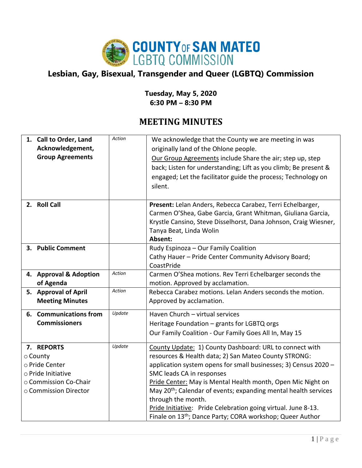

## **Lesbian, Gay, Bisexual, Transgender and Queer (LGBTQ) Commission**

## **Tuesday, May 5, 2020 6:30 PM – 8:30 PM**

## **MEETING MINUTES**

|                       | 1. Call to Order, Land  | Action | We acknowledge that the County we are meeting in was                        |
|-----------------------|-------------------------|--------|-----------------------------------------------------------------------------|
|                       | Acknowledgement,        |        | originally land of the Ohlone people.                                       |
|                       | <b>Group Agreements</b> |        | Our Group Agreements include Share the air; step up, step                   |
|                       |                         |        | back; Listen for understanding; Lift as you climb; Be present &             |
|                       |                         |        | engaged; Let the facilitator guide the process; Technology on               |
|                       |                         |        | silent.                                                                     |
|                       |                         |        |                                                                             |
|                       | 2. Roll Call            |        | Present: Lelan Anders, Rebecca Carabez, Terri Echelbarger,                  |
|                       |                         |        | Carmen O'Shea, Gabe Garcia, Grant Whitman, Giuliana Garcia,                 |
|                       |                         |        | Krystle Cansino, Steve Disselhorst, Dana Johnson, Craig Wiesner,            |
|                       |                         |        | Tanya Beat, Linda Wolin                                                     |
|                       |                         |        | Absent:                                                                     |
|                       | 3. Public Comment       |        | Rudy Espinoza - Our Family Coalition                                        |
|                       |                         |        | Cathy Hauer - Pride Center Community Advisory Board;                        |
|                       |                         |        | CoastPride                                                                  |
|                       | 4. Approval & Adoption  | Action | Carmen O'Shea motions. Rev Terri Echelbarger seconds the                    |
|                       | of Agenda               |        | motion. Approved by acclamation.                                            |
|                       | 5. Approval of April    | Action | Rebecca Carabez motions. Lelan Anders seconds the motion.                   |
|                       | <b>Meeting Minutes</b>  |        | Approved by acclamation.                                                    |
|                       | 6. Communications from  | Update | Haven Church - virtual services                                             |
|                       | <b>Commissioners</b>    |        | Heritage Foundation - grants for LGBTQ orgs                                 |
|                       |                         |        | Our Family Coalition - Our Family Goes All In, May 15                       |
|                       | 7. REPORTS              | Update | County Update: 1) County Dashboard: URL to connect with                     |
|                       | ⊙ County                |        | resources & Health data; 2) San Mateo County STRONG:                        |
|                       | o Pride Center          |        | application system opens for small businesses; 3) Census 2020 -             |
| o Pride Initiative    |                         |        | SMC leads CA in responses                                                   |
| ○ Commission Co-Chair |                         |        | Pride Center: May is Mental Health month, Open Mic Night on                 |
| ○ Commission Director |                         |        | May 20 <sup>th</sup> ; Calendar of events; expanding mental health services |
|                       |                         |        | through the month.                                                          |
|                       |                         |        | Pride Initiative: Pride Celebration going virtual. June 8-13.               |
|                       |                         |        | Finale on 13 <sup>th</sup> ; Dance Party; CORA workshop; Queer Author       |